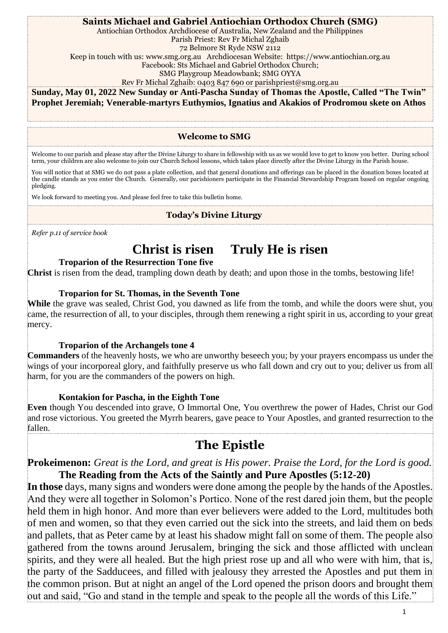#### **Saints Michael and Gabriel Antiochian Orthodox Church (SMG)**

Antiochian Orthodox Archdiocese of Australia, New Zealand and the Philippines

Parish Priest: Rev Fr Michal Zghaib

72 Belmore St Ryde NSW 2112

Keep in touch with us: [www.smg.org.au Archdiocesan](about:blank) Website: [https://www.antiochian.org.au](about:blank)

Facebook: Sts Michael and Gabriel Orthodox Church;

SMG Playgroup Meadowbank; SMG OYYA

Rev Fr Michal Zghaib: 0403 847 690 or [parishpriest@smg.org.au](about:blank) 

**Sunday, May 01, 2022 New Sunday or Anti-Pascha Sunday of Thomas the Apostle, Called "The Twin" Prophet Jeremiah; Venerable-martyrs Euthymios, Ignatius and Akakios of Prodromou skete on Athos**

#### **Welcome to SMG**

Welcome to our parish and please stay after the Divine Liturgy to share in fellowship with us as we would love to get to know you better. During school term, your children are also welcome to join our Church School lessons, which takes place directly after the Divine Liturgy in the Parish house.

You will notice that at SMG we do not pass a plate collection, and that general donations and offerings can be placed in the donation boxes located at the candle stands as you enter the Church. Generally, our parishioners participate in the Financial Stewardship Program based on regular ongoing pledging.

We look forward to meeting you. And please feel free to take this bulletin home.

#### **Today's Divine Liturgy**

*Refer p.11 of service book*

# **Christ is risen Truly He is risen**

#### **Troparion of the Resurrection Tone five**

**Christ** is risen from the dead, trampling down death by death; and upon those in the tombs, bestowing life!

#### **Troparion for St. Thomas, in the Seventh Tone**

While the grave was sealed, Christ God, you dawned as life from the tomb, and while the doors were shut, you came, the resurrection of all, to your disciples, through them renewing a right spirit in us, according to your great mercy.

#### **Troparion of the Archangels tone 4**

**Commanders** of the heavenly hosts, we who are unworthy beseech you; by your prayers encompass us under the wings of your incorporeal glory, and faithfully preserve us who fall down and cry out to you; deliver us from all harm, for you are the commanders of the powers on high.

#### **Kontakion for Pascha, in the Eighth Tone**

**Even** though You descended into grave, O Immortal One, You overthrew the power of Hades, Christ our God and rose victorious. You greeted the Myrrh bearers, gave peace to Your Apostles, and granted resurrection to the fallen.

# **The Epistle**

#### **Prokeimenon:** *Great is the Lord, and great is His power. Praise the Lord, for the Lord is good.* **The Reading from the Acts of the Saintly and Pure Apostles (5:12-20)**

**In those** days, many signs and wonders were done among the people by the hands of the Apostles. And they were all together in Solomon's Portico. None of the rest dared join them, but the people held them in high honor. And more than ever believers were added to the Lord, multitudes both of men and women, so that they even carried out the sick into the streets, and laid them on beds and pallets, that as Peter came by at least his shadow might fall on some of them. The people also gathered from the towns around Jerusalem, bringing the sick and those afflicted with unclean spirits, and they were all healed. But the high priest rose up and all who were with him, that is, the party of the Sadducees, and filled with jealousy they arrested the Apostles and put them in the common prison. But at night an angel of the Lord opened the prison doors and brought them out and said, "Go and stand in the temple and speak to the people all the words of this Life."

1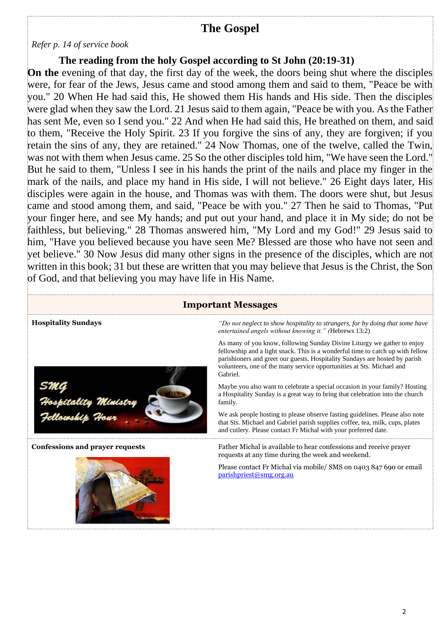## **The Gospel**

#### *Refer p. 14 of service book*

#### **The reading from the holy Gospel according to St John (20:19-31)**

**On the** evening of that day, the first day of the week, the doors being shut where the disciples were, for fear of the Jews, Jesus came and stood among them and said to them, "Peace be with you." 20 When He had said this, He showed them His hands and His side. Then the disciples were glad when they saw the Lord. 21 Jesus said to them again, "Peace be with you. As the Father has sent Me, even so I send you." 22 And when He had said this, He breathed on them, and said to them, "Receive the Holy Spirit. 23 If you forgive the sins of any, they are forgiven; if you retain the sins of any, they are retained." 24 Now Thomas, one of the twelve, called the Twin, was not with them when Jesus came. 25 So the other disciples told him, "We have seen the Lord." But he said to them, "Unless I see in his hands the print of the nails and place my finger in the mark of the nails, and place my hand in His side, I will not believe." 26 Eight days later, His disciples were again in the house, and Thomas was with them. The doors were shut, but Jesus came and stood among them, and said, "Peace be with you." 27 Then he said to Thomas, "Put your finger here, and see My hands; and put out your hand, and place it in My side; do not be faithless, but believing." 28 Thomas answered him, "My Lord and my God!" 29 Jesus said to him, "Have you believed because you have seen Me? Blessed are those who have not seen and yet believe." 30 Now Jesus did many other signs in the presence of the disciples, which are not written in this book; 31 but these are written that you may believe that Jesus is the Christ, the Son of God, and that believing you may have life in His Name.

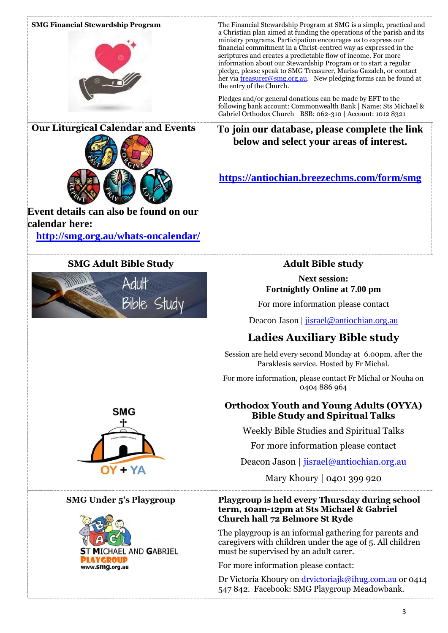#### **SMG Financial Stewardship Program** The Financial Stewardship Program at SMG is a simple, practical and a Christian plan aimed at funding the operations of the parish and its ministry programs. Participation encourages us to express our financial commitment in a Christ-centred way as expressed in the scriptures and creates a predictable flow of income. For more information about our Stewardship Program or to start a regular pledge, please speak to SMG Treasurer, Marisa Gazaleh, or contact her vi[a treasurer@smg.org.au.](about:blank) New pledging forms can be found at the entry of the Church. Pledges and/or general donations can be made by EFT to the following bank account: Commonwealth Bank | Name: Sts Michael & Gabriel Orthodox Church | BSB: 062-310 | Account: 1012 8321 **Our Liturgical Calendar and Events To join our database, please complete the link below and select your areas of interest.**

### **[https://antiochian.breezechms.com/form/smg](about:blank)**

### **SMG Adult Bible Study Adult Bible study**

#### **Next session: Fortnightly Online at 7.00 pm**

For more information please contact

Deacon Jason | [jisrael@antiochian.org.au](about:blank)

# **Ladies Auxiliary Bible study**

Session are held every second Monday at 6.00pm. after the Paraklesis service. Hosted by Fr Michal.

For more information, please contact Fr Michal or Nouha on 0404 886 964

#### **Orthodox Youth and Young Adults (OYYA) Bible Study and Spiritual Talks**

Weekly Bible Studies and Spiritual Talks

For more information please contact

Deacon Jason | [jisrael@antiochian.org.au](about:blank)

Mary Khoury | 0401 399 920

#### **SMG Under 5's Playgroup Playgroup is held every Thursday during school term, 10am-12pm at Sts Michael & Gabriel Church hall 72 Belmore St Ryde**

The playgroup is an informal gathering for parents and caregivers with children under the age of 5. All children must be supervised by an adult carer.

For more information please contact:

Dr Victoria Khoury on [drvictoriajk@ihug.com.au](about:blank) or 0414 547 842. Facebook: SMG Playgroup Meadowbank.



**Event details can also be found on our** 

**[http://smg.org.au/whats-oncalendar/](about:blank)** 

Bible Study

**calendar here:**